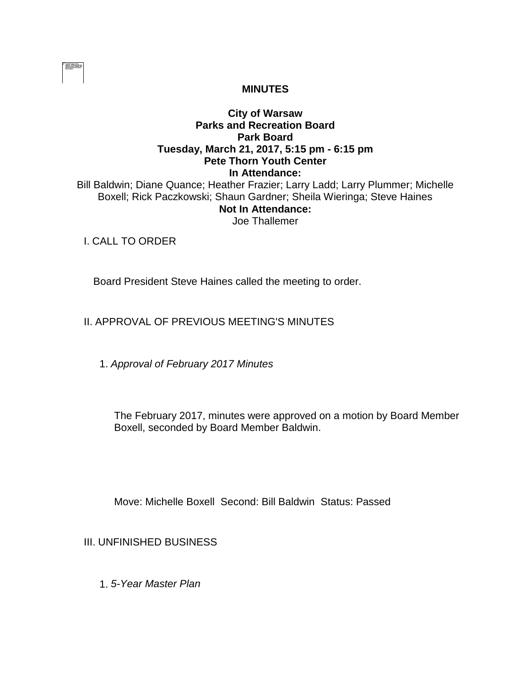

## **MINUTES**

# **City of Warsaw Parks and Recreation Board Park Board Tuesday, March 21, 2017, 5:15 pm - 6:15 pm Pete Thorn Youth Center In Attendance:**

Bill Baldwin; Diane Quance; Heather Frazier; Larry Ladd; Larry Plummer; Michelle Boxell; Rick Paczkowski; Shaun Gardner; Sheila Wieringa; Steve Haines **Not In Attendance:**  Joe Thallemer

I. CALL TO ORDER

Board President Steve Haines called the meeting to order.

II. APPROVAL OF PREVIOUS MEETING'S MINUTES

1. *Approval of February 2017 Minutes*

The February 2017, minutes were approved on a motion by Board Member Boxell, seconded by Board Member Baldwin.

Move: Michelle Boxell Second: Bill Baldwin Status: Passed

III. UNFINISHED BUSINESS

1. *5-Year Master Plan*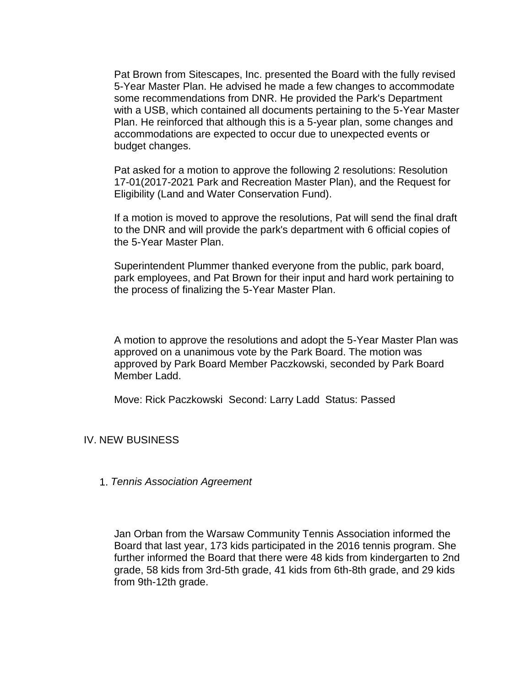Pat Brown from Sitescapes, Inc. presented the Board with the fully revised 5-Year Master Plan. He advised he made a few changes to accommodate some recommendations from DNR. He provided the Park's Department with a USB, which contained all documents pertaining to the 5-Year Master Plan. He reinforced that although this is a 5-year plan, some changes and accommodations are expected to occur due to unexpected events or budget changes.

Pat asked for a motion to approve the following 2 resolutions: Resolution 17-01(2017-2021 Park and Recreation Master Plan), and the Request for Eligibility (Land and Water Conservation Fund).

If a motion is moved to approve the resolutions, Pat will send the final draft to the DNR and will provide the park's department with 6 official copies of the 5-Year Master Plan.

Superintendent Plummer thanked everyone from the public, park board, park employees, and Pat Brown for their input and hard work pertaining to the process of finalizing the 5-Year Master Plan.

A motion to approve the resolutions and adopt the 5-Year Master Plan was approved on a unanimous vote by the Park Board. The motion was approved by Park Board Member Paczkowski, seconded by Park Board Member Ladd.

Move: Rick Paczkowski Second: Larry Ladd Status: Passed

IV. NEW BUSINESS

1. *Tennis Association Agreement*

Jan Orban from the Warsaw Community Tennis Association informed the Board that last year, 173 kids participated in the 2016 tennis program. She further informed the Board that there were 48 kids from kindergarten to 2nd grade, 58 kids from 3rd-5th grade, 41 kids from 6th-8th grade, and 29 kids from 9th-12th grade.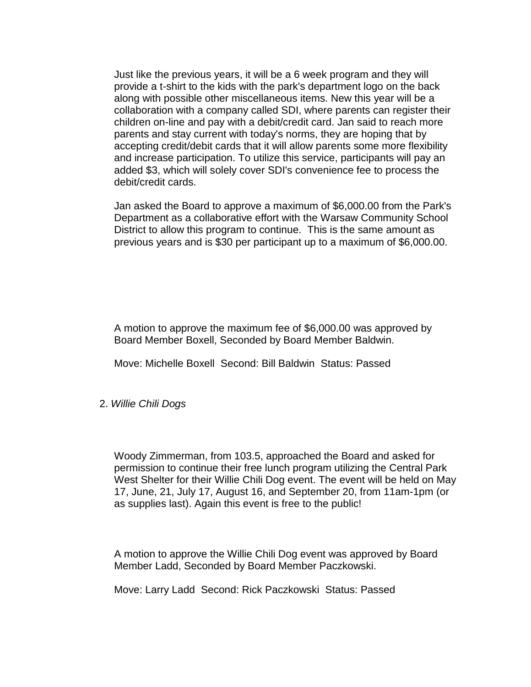Just like the previous years, it will be a 6 week program and they will provide a t-shirt to the kids with the park's department logo on the back along with possible other miscellaneous items. New this year will be a collaboration with a company called SDI, where parents can register their children on-line and pay with a debit/credit card. Jan said to reach more parents and stay current with today's norms, they are hoping that by accepting credit/debit cards that it will allow parents some more flexibility and increase participation. To utilize this service, participants will pay an added \$3, which will solely cover SDI's convenience fee to process the debit/credit cards.

Jan asked the Board to approve a maximum of \$6,000.00 from the Park's Department as a collaborative effort with the Warsaw Community School District to allow this program to continue. This is the same amount as previous years and is \$30 per participant up to a maximum of \$6,000.00.

A motion to approve the maximum fee of \$6,000.00 was approved by Board Member Boxell, Seconded by Board Member Baldwin.

Move: Michelle Boxell Second: Bill Baldwin Status: Passed

#### 2. *Willie Chili Dogs*

Woody Zimmerman, from 103.5, approached the Board and asked for permission to continue their free lunch program utilizing the Central Park West Shelter for their Willie Chili Dog event. The event will be held on May 17, June, 21, July 17, August 16, and September 20, from 11am-1pm (or as supplies last). Again this event is free to the public!

A motion to approve the Willie Chili Dog event was approved by Board Member Ladd, Seconded by Board Member Paczkowski.

Move: Larry Ladd Second: Rick Paczkowski Status: Passed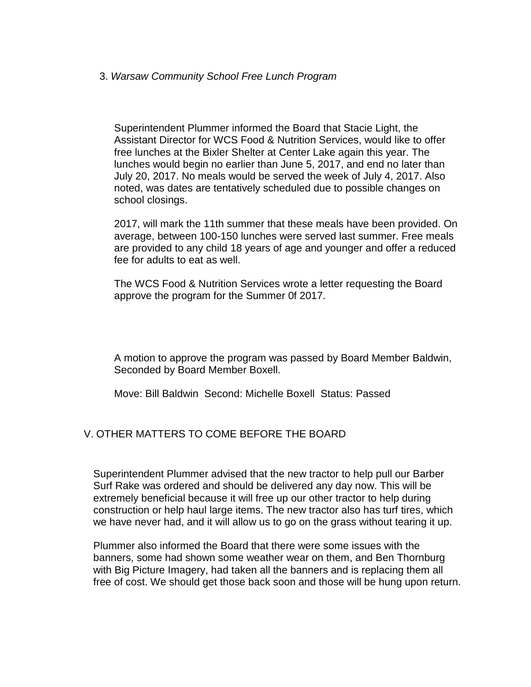### 3. *Warsaw Community School Free Lunch Program*

Superintendent Plummer informed the Board that Stacie Light, the Assistant Director for WCS Food & Nutrition Services, would like to offer free lunches at the Bixler Shelter at Center Lake again this year. The lunches would begin no earlier than June 5, 2017, and end no later than July 20, 2017. No meals would be served the week of July 4, 2017. Also noted, was dates are tentatively scheduled due to possible changes on school closings.

2017, will mark the 11th summer that these meals have been provided. On average, between 100-150 lunches were served last summer. Free meals are provided to any child 18 years of age and younger and offer a reduced fee for adults to eat as well.

The WCS Food & Nutrition Services wrote a letter requesting the Board approve the program for the Summer 0f 2017.

A motion to approve the program was passed by Board Member Baldwin, Seconded by Board Member Boxell.

Move: Bill Baldwin Second: Michelle Boxell Status: Passed

## V. OTHER MATTERS TO COME BEFORE THE BOARD

Superintendent Plummer advised that the new tractor to help pull our Barber Surf Rake was ordered and should be delivered any day now. This will be extremely beneficial because it will free up our other tractor to help during construction or help haul large items. The new tractor also has turf tires, which we have never had, and it will allow us to go on the grass without tearing it up.

Plummer also informed the Board that there were some issues with the banners, some had shown some weather wear on them, and Ben Thornburg with Big Picture Imagery, had taken all the banners and is replacing them all free of cost. We should get those back soon and those will be hung upon return.